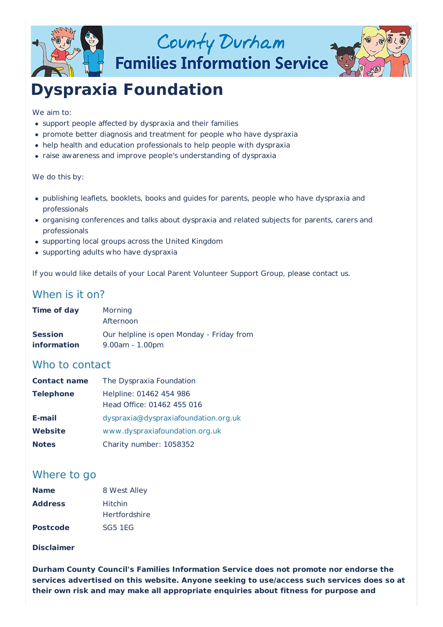

## County Durham **Families Information Service**



# **Dyspraxia Foundation**

#### We aim to:

- support people affected by dyspraxia and their families
- promote better diagnosis and treatment for people who have dyspraxia
- help health and education professionals to help people with dyspraxia
- raise awareness and improve people's understanding of dyspraxia

#### We do this by:

- publishing leaflets, booklets, books and guides for parents, people who have dyspraxia and professionals
- organising conferences and talks about dyspraxia and related subjects for parents, carers and professionals
- supporting local groups across the United Kingdom
- supporting adults who have dyspraxia

If you would like details of your Local Parent Volunteer Support Group, please contact us.

## When is it on?

| Time of day        | Morning<br>Afternoon                      |
|--------------------|-------------------------------------------|
| <b>Session</b>     | Our helpline is open Monday - Friday from |
| <i>information</i> | $9.00am - 1.00pm$                         |

## Who to contact

| <b>Contact name</b> | The Dyspraxia Foundation                              |  |
|---------------------|-------------------------------------------------------|--|
| <b>Telephone</b>    | Helpline: 01462 454 986<br>Head Office: 01462 455 016 |  |
| E-mail              | dyspraxia@dyspraxiafoundation.org.uk                  |  |
| <b>Website</b>      | www.dyspraxiafoundation.org.uk                        |  |
| <b>Notes</b>        | Charity number: 1058352                               |  |

## Where to go

| <b>Name</b>     | 8 West Alley         |
|-----------------|----------------------|
| <b>Address</b>  | Hitchin              |
|                 | <b>Hertfordshire</b> |
| <b>Postcode</b> | SG5 1EG              |

### **Disclaimer**

**Durham County Council's Families Information Service does not promote nor endorse the services advertised on this website. Anyone seeking to use/access such services does so at their own risk and may make all appropriate enquiries about fitness for purpose and**